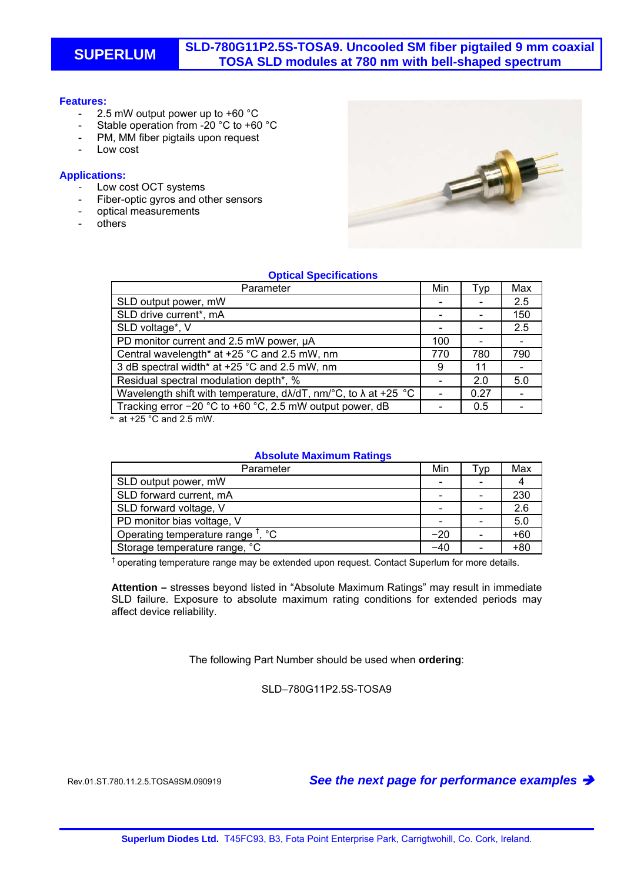# **SUPERLUM SLD-780G11P2.5S-TOSA9. Uncooled SM fiber pigtailed 9 mm coaxial TOSA SLD modules at 780 nm with bell-shaped spectrum**

#### **Features:**

- 2.5 mW output power up to +60 °C
- Stable operation from -20 °C to +60 °C
- PM, MM fiber pigtails upon request
- Low cost

### **Applications:**

- Low cost OCT systems
- Fiber-optic gyros and other sensors
- optical measurements
- **others**



## **Optical Specifications**

| Parameter                                                                        | Min | Typ  | Max |
|----------------------------------------------------------------------------------|-----|------|-----|
| SLD output power, mW                                                             |     |      | 2.5 |
| SLD drive current*, mA                                                           |     |      | 150 |
| SLD voltage*, V                                                                  |     |      | 2.5 |
| PD monitor current and 2.5 mW power, µA                                          | 100 |      |     |
| Central wavelength* at +25 °C and 2.5 mW, nm                                     | 770 | 780  | 790 |
| 3 dB spectral width* at +25 °C and 2.5 mW, nm                                    | 9   | 11   |     |
| Residual spectral modulation depth*, %                                           |     | 2.0  | 5.0 |
| Wavelength shift with temperature, $d\lambda/dT$ , nm/°C, to $\lambda$ at +25 °C |     | 0.27 |     |
| Tracking error -20 °C to +60 °C, 2.5 mW output power, dB                         |     | 0.5  |     |

 $*$  at +25 °C and 2.5 mW.

#### **Absolute Maximum Ratings**

| Parameter                                     | Min   | Tvp | Max   |
|-----------------------------------------------|-------|-----|-------|
| SLD output power, mW                          | -     |     |       |
| SLD forward current, mA                       |       |     | 230   |
| SLD forward voltage, V                        |       |     | 2.6   |
| PD monitor bias voltage, V                    |       |     | 5.0   |
| Operating temperature range <sup>†</sup> , °C | $-20$ |     | $+60$ |
| Storage temperature range, °C                 | –4∩   |     | +80   |

 $<sup>†</sup>$  operating temperature range may be extended upon request. Contact Superlum for more details.</sup>

**Attention –** stresses beyond listed in "Absolute Maximum Ratings" may result in immediate SLD failure. Exposure to absolute maximum rating conditions for extended periods may affect device reliability.

The following Part Number should be used when **ordering**:

SLD–780G11P2.5S-TOSA9

Rev.01.ST.780.11.2.5.TOSA9SM.090919 *See the next page for performance examples*